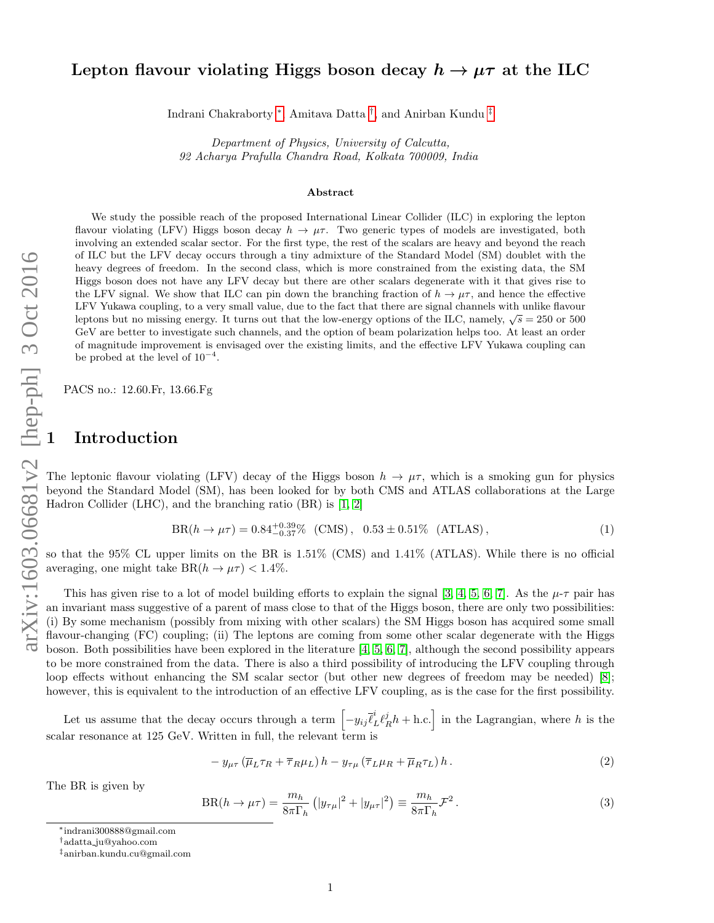## Lepton flavour violating Higgs boson decay  $h \to \mu \tau$  at the ILC

Indrani Chakraborty [∗](#page-0-0) , Amitava Datta [†](#page-0-1) , and Anirban Kundu [‡](#page-0-2)

Department of Physics, University of Calcutta, 92 Acharya Prafulla Chandra Road, Kolkata 700009, India

#### Abstract

We study the possible reach of the proposed International Linear Collider (ILC) in exploring the lepton flavour violating (LFV) Higgs boson decay  $h \to \mu\tau$ . Two generic types of models are investigated, both involving an extended scalar sector. For the first type, the rest of the scalars are heavy and beyond the reach of ILC but the LFV decay occurs through a tiny admixture of the Standard Model (SM) doublet with the heavy degrees of freedom. In the second class, which is more constrained from the existing data, the SM Higgs boson does not have any LFV decay but there are other scalars degenerate with it that gives rise to the LFV signal. We show that ILC can pin down the branching fraction of  $h \to \mu\tau$ , and hence the effective LFV Yukawa coupling, to a very small value, due to the fact that there are signal channels with unlike flavour Let v Tukawa coupling, to a very small value, the to the lact that there are signal channels with unlike havour<br>leptons but no missing energy. It turns out that the low-energy options of the ILC, namely,  $\sqrt{s} = 250$  or 50 GeV are better to investigate such channels, and the option of beam polarization helps too. At least an order of magnitude improvement is envisaged over the existing limits, and the effective LFV Yukawa coupling can be probed at the level of  $10^{-4}$ .

PACS no.: 12.60.Fr, 13.66.Fg

# **Introduction**

The leptonic flavour violating (LFV) decay of the Higgs boson  $h \to \mu\tau$ , which is a smoking gun for physics beyond the Standard Model (SM), has been looked for by both CMS and ATLAS collaborations at the Large Hadron Collider (LHC), and the branching ratio (BR) is [\[1,](#page-7-0) [2\]](#page-7-1)

$$
BR(h \to \mu \tau) = 0.84^{+0.39}_{-0.37}\% \text{ (CMS)}, \quad 0.53 \pm 0.51\% \text{ (ATLAS)}, \tag{1}
$$

so that the 95% CL upper limits on the BR is 1.51% (CMS) and 1.41% (ATLAS). While there is no official averaging, one might take  $BR(h \to \mu \tau) < 1.4\%$ .

This has given rise to a lot of model building efforts to explain the signal [\[3,](#page-7-2) [4,](#page-7-3) [5,](#page-7-4) [6,](#page-7-5) [7\]](#page-8-0). As the  $\mu$ - $\tau$  pair has an invariant mass suggestive of a parent of mass close to that of the Higgs boson, there are only two possibilities: (i) By some mechanism (possibly from mixing with other scalars) the SM Higgs boson has acquired some small flavour-changing (FC) coupling; (ii) The leptons are coming from some other scalar degenerate with the Higgs boson. Both possibilities have been explored in the literature [\[4,](#page-7-3) [5,](#page-7-4) [6,](#page-7-5) [7\]](#page-8-0), although the second possibility appears to be more constrained from the data. There is also a third possibility of introducing the LFV coupling through loop effects without enhancing the SM scalar sector (but other new degrees of freedom may be needed) [\[8\]](#page-8-1); however, this is equivalent to the introduction of an effective LFV coupling, as is the case for the first possibility.

Let us assume that the decay occurs through a term  $\left[-y_{ij}\bar{\ell}_L^i\ell_R^j h + \text{h.c.}\right]$  in the Lagrangian, where h is the scalar resonance at 125 GeV. Written in full, the relevant term is

<span id="page-0-3"></span>
$$
- y_{\mu\tau} \left( \overline{\mu}_L \tau_R + \overline{\tau}_R \mu_L \right) h - y_{\tau\mu} \left( \overline{\tau}_L \mu_R + \overline{\mu}_R \tau_L \right) h. \tag{2}
$$

The BR is given by

$$
BR(h \to \mu \tau) = \frac{m_h}{8\pi \Gamma_h} \left( |y_{\tau\mu}|^2 + |y_{\mu\tau}|^2 \right) \equiv \frac{m_h}{8\pi \Gamma_h} \mathcal{F}^2 \,. \tag{3}
$$

<span id="page-0-0"></span><sup>∗</sup>indrani300888@gmail.com

<span id="page-0-1"></span><sup>†</sup>adatta ju@yahoo.com

<span id="page-0-2"></span><sup>‡</sup>anirban.kundu.cu@gmail.com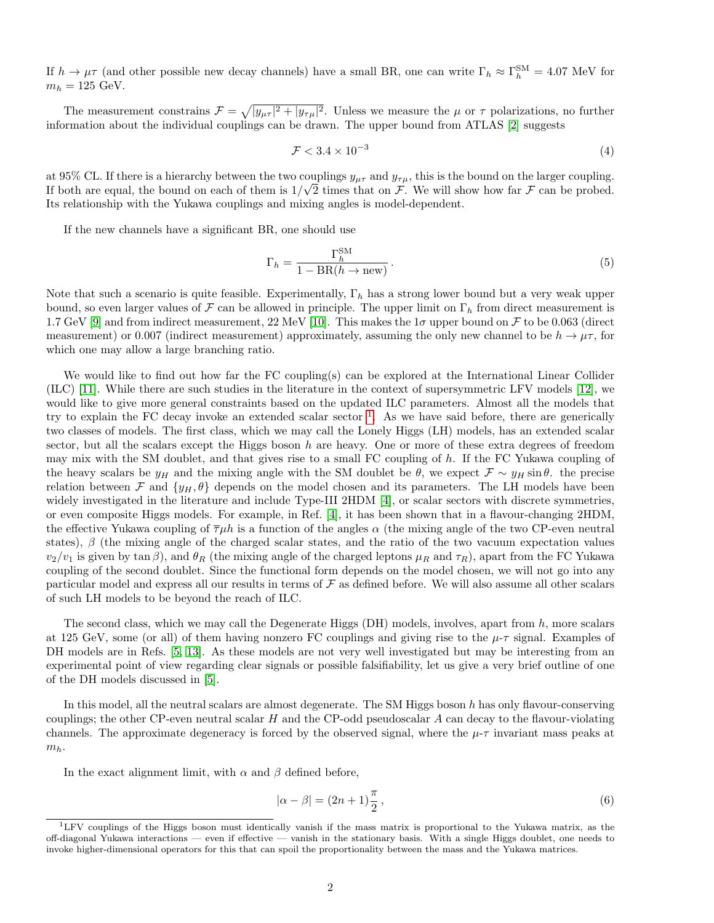If  $h \to \mu\tau$  (and other possible new decay channels) have a small BR, one can write  $\Gamma_h \approx \Gamma_h^{\text{SM}} = 4.07 \text{ MeV}$  for  $m_h = 125$  GeV.

The measurement constrains  $\mathcal{F} = \sqrt{|y_{\mu\tau}|^2 + |y_{\tau\mu}|^2}$ . Unless we measure the  $\mu$  or  $\tau$  polarizations, no further information about the individual couplings can be drawn. The upper bound from ATLAS [\[2\]](#page-7-1) suggests

$$
\mathcal{F} < 3.4 \times 10^{-3} \tag{4}
$$

at 95% CL. If there is a hierarchy between the two couplings  $y_{\mu\tau}$  and  $y_{\tau\mu}$ , this is the bound on the larger coupling. If both are equal, the bound on each of them is  $1/\sqrt{2}$  times that on F. We will show how far F can be probed. Its relationship with the Yukawa couplings and mixing angles is model-dependent.

If the new channels have a significant BR, one should use

$$
\Gamma_h = \frac{\Gamma_h^{\text{SM}}}{1 - \text{BR}(h \to \text{new})} \,. \tag{5}
$$

Note that such a scenario is quite feasible. Experimentally,  $\Gamma_h$  has a strong lower bound but a very weak upper bound, so even larger values of F can be allowed in principle. The upper limit on  $\Gamma_h$  from direct measurement is 1.7 GeV [\[9\]](#page-8-2) and from indirect measurement, 22 MeV [\[10\]](#page-8-3). This makes the  $1\sigma$  upper bound on F to be 0.063 (direct measurement) or 0.007 (indirect measurement) approximately, assuming the only new channel to be  $h \to \mu \tau$ , for which one may allow a large branching ratio.

We would like to find out how far the FC coupling(s) can be explored at the International Linear Collider (ILC) [\[11\]](#page-8-4). While there are such studies in the literature in the context of supersymmetric LFV models [\[12\]](#page-8-5), we would like to give more general constraints based on the updated ILC parameters. Almost all the models that try to explain the FC decay invoke an extended scalar sector  $<sup>1</sup>$  $<sup>1</sup>$  $<sup>1</sup>$ . As we have said before, there are generically</sup> two classes of models. The first class, which we may call the Lonely Higgs (LH) models, has an extended scalar sector, but all the scalars except the Higgs boson h are heavy. One or more of these extra degrees of freedom may mix with the SM doublet, and that gives rise to a small FC coupling of h. If the FC Yukawa coupling of the heavy scalars be  $y_H$  and the mixing angle with the SM doublet be  $\theta$ , we expect  $\mathcal{F} \sim y_H \sin \theta$ . the precise relation between F and  $\{y_H, \theta\}$  depends on the model chosen and its parameters. The LH models have been widely investigated in the literature and include Type-III 2HDM [\[4\]](#page-7-3), or scalar sectors with discrete symmetries, or even composite Higgs models. For example, in Ref. [\[4\]](#page-7-3), it has been shown that in a flavour-changing 2HDM, the effective Yukawa coupling of  $\overline{\tau}\mu h$  is a function of the angles  $\alpha$  (the mixing angle of the two CP-even neutral states),  $\beta$  (the mixing angle of the charged scalar states, and the ratio of the two vacuum expectation values  $v_2/v_1$  is given by tan  $\beta$ ), and  $\theta_R$  (the mixing angle of the charged leptons  $\mu_R$  and  $\tau_R$ ), apart from the FC Yukawa coupling of the second doublet. Since the functional form depends on the model chosen, we will not go into any particular model and express all our results in terms of  $\mathcal F$  as defined before. We will also assume all other scalars of such LH models to be beyond the reach of ILC.

The second class, which we may call the Degenerate Higgs  $(DH)$  models, involves, apart from h, more scalars at 125 GeV, some (or all) of them having nonzero FC couplings and giving rise to the  $\mu$ - $\tau$  signal. Examples of DH models are in Refs. [\[5,](#page-7-4) [13\]](#page-8-6). As these models are not very well investigated but may be interesting from an experimental point of view regarding clear signals or possible falsifiability, let us give a very brief outline of one of the DH models discussed in [\[5\]](#page-7-4).

In this model, all the neutral scalars are almost degenerate. The SM Higgs boson h has only flavour-conserving couplings; the other CP-even neutral scalar  $H$  and the CP-odd pseudoscalar  $A$  can decay to the flavour-violating channels. The approximate degeneracy is forced by the observed signal, where the  $\mu$ - $\tau$  invariant mass peaks at  $m_h$ .

In the exact alignment limit, with  $\alpha$  and  $\beta$  defined before,

$$
|\alpha - \beta| = (2n + 1)\frac{\pi}{2},\tag{6}
$$

<span id="page-1-0"></span><sup>1</sup>LFV couplings of the Higgs boson must identically vanish if the mass matrix is proportional to the Yukawa matrix, as the off-diagonal Yukawa interactions — even if effective — vanish in the stationary basis. With a single Higgs doublet, one needs to invoke higher-dimensional operators for this that can spoil the proportionality between the mass and the Yukawa matrices.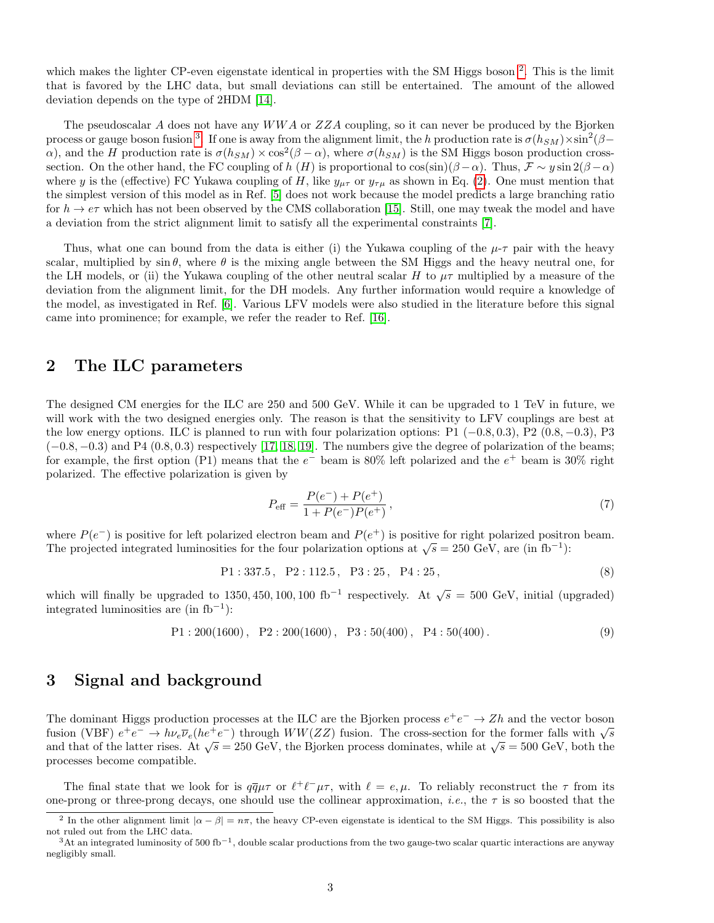which makes the lighter CP-even eigenstate identical in properties with the SM Higgs boson<sup>[2](#page-2-0)</sup>. This is the limit that is favored by the LHC data, but small deviations can still be entertained. The amount of the allowed deviation depends on the type of 2HDM [\[14\]](#page-8-7).

The pseudoscalar A does not have any  $WWA$  or  $ZZA$  coupling, so it can never be produced by the Bjorken process or gauge boson fusion <sup>[3](#page-2-1)</sup>. If one is away from the alignment limit, the h production rate is  $\sigma(h_{SM})\times\sin^2(\beta$ a), and the H production rate is  $\sigma(h_{SM}) \times \cos^2(\beta - \alpha)$ , where  $\sigma(h_{SM})$  is the SM Higgs boson production crosssection. On the other hand, the FC coupling of h (H) is proportional to  $\cos(\sin)(\beta-\alpha)$ . Thus,  $\mathcal{F} \sim y \sin 2(\beta-\alpha)$ where y is the (effective) FC Yukawa coupling of H, like  $y_{\mu\tau}$  or  $y_{\tau\mu}$  as shown in Eq. [\(2\)](#page-0-3). One must mention that the simplest version of this model as in Ref. [\[5\]](#page-7-4) does not work because the model predicts a large branching ratio for  $h \to e\tau$  which has not been observed by the CMS collaboration [\[15\]](#page-8-8). Still, one may tweak the model and have a deviation from the strict alignment limit to satisfy all the experimental constraints [\[7\]](#page-8-0).

Thus, what one can bound from the data is either (i) the Yukawa coupling of the  $\mu$ - $\tau$  pair with the heavy scalar, multiplied by  $\sin \theta$ , where  $\theta$  is the mixing angle between the SM Higgs and the heavy neutral one, for the LH models, or (ii) the Yukawa coupling of the other neutral scalar H to  $\mu\tau$  multiplied by a measure of the deviation from the alignment limit, for the DH models. Any further information would require a knowledge of the model, as investigated in Ref. [\[6\]](#page-7-5). Various LFV models were also studied in the literature before this signal came into prominence; for example, we refer the reader to Ref. [\[16\]](#page-8-9).

#### 2 The ILC parameters

The designed CM energies for the ILC are 250 and 500 GeV. While it can be upgraded to 1 TeV in future, we will work with the two designed energies only. The reason is that the sensitivity to LFV couplings are best at the low energy options. ILC is planned to run with four polarization options: P1  $(-0.8, 0.3)$ , P2  $(0.8, -0.3)$ , P3  $(-0.8, -0.3)$  and P4  $(0.8, 0.3)$  respectively [\[17,](#page-8-10) [18,](#page-8-11) [19\]](#page-8-12). The numbers give the degree of polarization of the beams; for example, the first option (P1) means that the  $e^-$  beam is 80% left polarized and the  $e^+$  beam is 30% right polarized. The effective polarization is given by

$$
P_{\text{eff}} = \frac{P(e^{-}) + P(e^{+})}{1 + P(e^{-})P(e^{+})},
$$
\n(7)

where  $P(e^-)$  is positive for left polarized electron beam and  $P(e^+)$  is positive for right polarized positron beam. where  $T(e^+)$  is positive for their polarized electron beam and  $T(e^+)$  is positive for right polarized position.<br>The projected integrated luminosities for the four polarization options at  $\sqrt{s} = 250$  GeV, are (in fb<sup>-1</sup>):

$$
P1: 337.5, P2: 112.5, P3: 25, P4: 25,
$$
\n
$$
(8)
$$

which will finally be upgraded to 1350, 450, 100, 100 fb<sup>-1</sup> respectively. At  $\sqrt{s} = 500$  GeV, initial (upgraded) integrated luminosities are (in fb<sup>−</sup><sup>1</sup> ):

$$
P1:200(1600), P2:200(1600), P3:50(400), P4:50(400).
$$
\n(9)

#### 3 Signal and background

The dominant Higgs production processes at the ILC are the Bjorken process  $e^+e^- \to Zh$  and the vector boson The dominant riggs production processes at the LLC are the Djorken process  $e^+e^- \to Zh$  and the vector boson<br>fusion (VBF)  $e^+e^- \to h\nu_e\overline{\nu}_e(he^+e^-)$  through  $WW(ZZ)$  fusion. The cross-section for the former falls with  $\sqrt{s}$ and that of the latter rises. At  $\sqrt{s} = 250$  GeV, the Bjorken process dominates, while at  $\sqrt{s} = 500$  GeV, both the processes become compatible.

The final state that we look for is  $q\bar{q}\mu\tau$  or  $\ell^+\ell^-\mu\tau$ , with  $\ell = e, \mu$ . To reliably reconstruct the  $\tau$  from its one-prong or three-prong decays, one should use the collinear approximation, *i.e.*, the  $\tau$  is so boosted that the

<span id="page-2-0"></span><sup>&</sup>lt;sup>2</sup> In the other alignment limit  $|\alpha - \beta| = n\pi$ , the heavy CP-even eigenstate is identical to the SM Higgs. This possibility is also not ruled out from the LHC data.

<span id="page-2-1"></span> $3$ At an integrated luminosity of 500 fb<sup>-1</sup>, double scalar productions from the two gauge-two scalar quartic interactions are anyway negligibly small.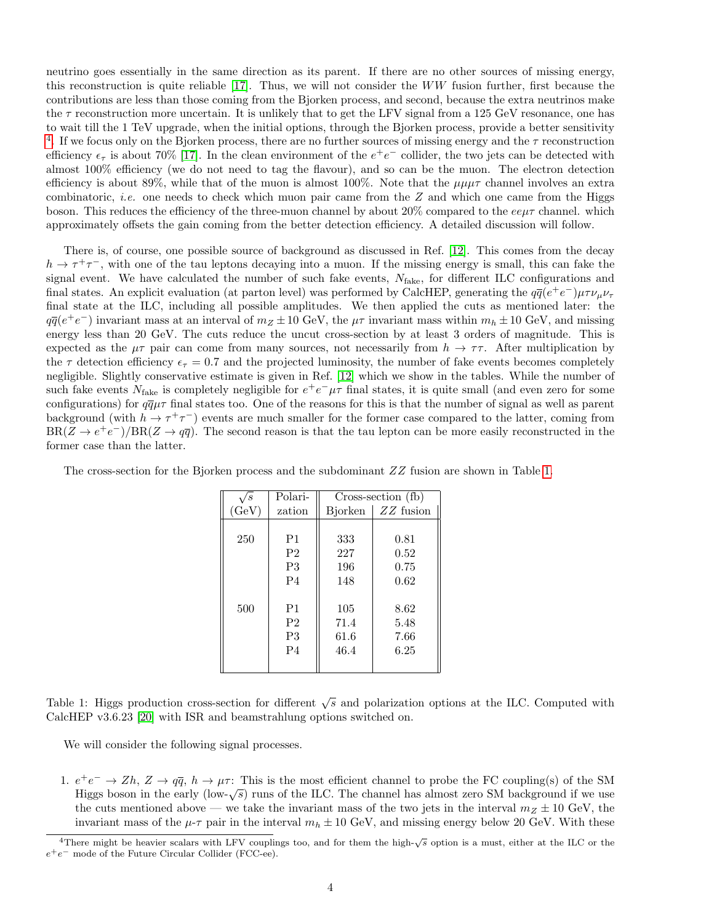neutrino goes essentially in the same direction as its parent. If there are no other sources of missing energy, this reconstruction is quite reliable [\[17\]](#page-8-10). Thus, we will not consider the WW fusion further, first because the contributions are less than those coming from the Bjorken process, and second, because the extra neutrinos make the  $\tau$  reconstruction more uncertain. It is unlikely that to get the LFV signal from a 125 GeV resonance, one has to wait till the 1 TeV upgrade, when the initial options, through the Bjorken process, provide a better sensitivity <sup>[4](#page-3-0)</sup>. If we focus only on the Bjorken process, there are no further sources of missing energy and the  $\tau$  reconstruction efficiency  $\epsilon_{\tau}$  is about 70% [\[17\]](#page-8-10). In the clean environment of the  $e^+e^-$  collider, the two jets can be detected with almost 100% efficiency (we do not need to tag the flavour), and so can be the muon. The electron detection efficiency is about 89%, while that of the muon is almost 100%. Note that the  $\mu\mu\tau$  channel involves an extra combinatoric, *i.e.* one needs to check which muon pair came from the  $Z$  and which one came from the Higgs boson. This reduces the efficiency of the three-muon channel by about 20% compared to the  $ee\mu\tau$  channel. which approximately offsets the gain coming from the better detection efficiency. A detailed discussion will follow.

There is, of course, one possible source of background as discussed in Ref. [\[12\]](#page-8-5). This comes from the decay  $h \to \tau^+\tau^-$ , with one of the tau leptons decaying into a muon. If the missing energy is small, this can fake the signal event. We have calculated the number of such fake events,  $N_{\text{fake}}$ , for different ILC configurations and final states. An explicit evaluation (at parton level) was performed by CalcHEP, generating the  $q\bar{q}(e^+e^-)\mu\tau\nu_\mu\nu_\tau$ final state at the ILC, including all possible amplitudes. We then applied the cuts as mentioned later: the  $q\bar{q}(e^+e^-)$  invariant mass at an interval of  $m_Z \pm 10$  GeV, the  $\mu\tau$  invariant mass within  $m_h \pm 10$  GeV, and missing energy less than 20 GeV. The cuts reduce the uncut cross-section by at least 3 orders of magnitude. This is expected as the  $\mu\tau$  pair can come from many sources, not necessarily from  $h \to \tau\tau$ . After multiplication by the  $\tau$  detection efficiency  $\epsilon_{\tau} = 0.7$  and the projected luminosity, the number of fake events becomes completely negligible. Slightly conservative estimate is given in Ref. [\[12\]](#page-8-5) which we show in the tables. While the number of such fake events  $N_{\text{fake}}$  is completely negligible for  $e^+e^-\mu\tau$  final states, it is quite small (and even zero for some configurations) for  $q\bar{q}\mu\tau$  final states too. One of the reasons for this is that the number of signal as well as parent background (with  $h \to \tau^+\tau^-$ ) events are much smaller for the former case compared to the latter, coming from  $BR(Z \to e^+e^-)/BR(Z \to q\bar{q})$ . The second reason is that the tau lepton can be more easily reconstructed in the former case than the latter.

| 's    | Polari-        | Cross-section (fb) |             |  |  |
|-------|----------------|--------------------|-------------|--|--|
| (GeV) | zation         | <b>Bjorken</b>     | $ZZ$ fusion |  |  |
|       |                |                    |             |  |  |
| 250   | P1             | 333                | 0.81        |  |  |
|       | P <sub>2</sub> | 227                | 0.52        |  |  |
|       | P3             | 196                | 0.75        |  |  |
|       | P <sub>4</sub> | 148                | 0.62        |  |  |
|       |                |                    |             |  |  |
| 500   | P <sub>1</sub> | 105                | 8.62        |  |  |
|       | P <sub>2</sub> | 71.4               | 5.48        |  |  |
|       | P3             | 61.6               | 7.66        |  |  |
|       | P <sub>4</sub> | 46.4               | 6.25        |  |  |
|       |                |                    |             |  |  |

The cross-section for the Bjorken process and the subdominant  $ZZ$  fusion are shown in Table [1.](#page-3-1)

<span id="page-3-1"></span>Table 1: Higgs production cross-section for different  $\sqrt{s}$  and polarization options at the ILC. Computed with CalcHEP v3.6.23 [\[20\]](#page-8-13) with ISR and beamstrahlung options switched on.

We will consider the following signal processes.

1.  $e^+e^- \to Zh$ ,  $Z \to q\bar{q}$ ,  $h \to \mu\tau$ : This is the most efficient channel to probe the FC coupling(s) of the SM  $e^+e^- \rightarrow \pi$ ,  $\Delta \rightarrow qq$ ,  $n \rightarrow \mu$ . This is the most encrent channel to probe the FC coupling(s) of the SM Higgs boson in the early (low- $\sqrt{s}$ ) runs of the ILC. The channel has almost zero SM background if we use the cuts mentioned above — we take the invariant mass of the two jets in the interval  $m_Z \pm 10$  GeV, the invariant mass of the  $\mu$ - $\tau$  pair in the interval  $m_h \pm 10$  GeV, and missing energy below 20 GeV. With these

<span id="page-3-0"></span> $\frac{4 \text{There might be heavier scalars with LFV couplings too, and for them the high- $\sqrt{s}$  option is a must, either at the ILC or the$ e <sup>+</sup>e<sup>−</sup> mode of the Future Circular Collider (FCC-ee).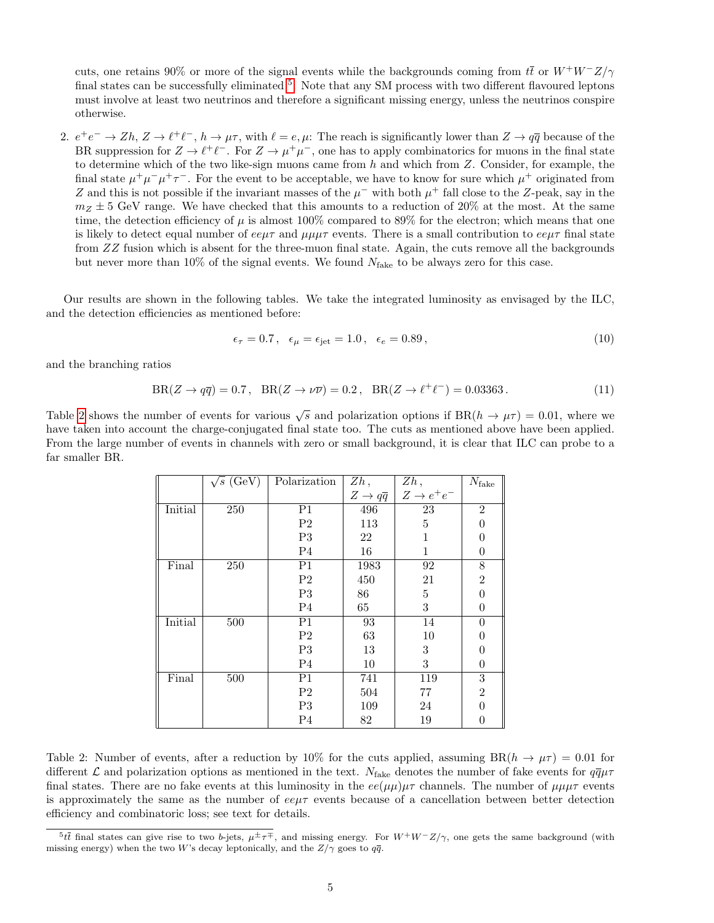cuts, one retains 90% or more of the signal events while the backgrounds coming from  $t\bar{t}$  or  $W^+W^-Z/\gamma$ final states can be successfully eliminated <sup>[5](#page-4-0)</sup>. Note that any SM process with two different flavoured leptons must involve at least two neutrinos and therefore a significant missing energy, unless the neutrinos conspire otherwise.

2.  $e^+e^- \to Zh$ ,  $Z \to \ell^+\ell^-$ ,  $h \to \mu\tau$ , with  $\ell = e, \mu$ : The reach is significantly lower than  $Z \to q\bar{q}$  because of the BR suppression for  $Z \to \ell^+ \ell^-$ . For  $Z \to \mu^+ \mu^-$ , one has to apply combinatorics for muons in the final state to determine which of the two like-sign muons came from  $h$  and which from  $Z$ . Consider, for example, the final state  $\mu^+\mu^-\mu^+\tau^-$ . For the event to be acceptable, we have to know for sure which  $\mu^+$  originated from Z and this is not possible if the invariant masses of the  $\mu^-$  with both  $\mu^+$  fall close to the Z-peak, say in the  $m_Z \pm 5$  GeV range. We have checked that this amounts to a reduction of 20% at the most. At the same time, the detection efficiency of  $\mu$  is almost 100% compared to 89% for the electron; which means that one is likely to detect equal number of  $ee\mu\tau$  and  $\mu\mu\mu\tau$  events. There is a small contribution to  $ee\mu\tau$  final state from ZZ fusion which is absent for the three-muon final state. Again, the cuts remove all the backgrounds but never more than 10% of the signal events. We found  $N_{\text{fake}}$  to be always zero for this case.

Our results are shown in the following tables. We take the integrated luminosity as envisaged by the ILC, and the detection efficiencies as mentioned before:

$$
\epsilon_{\tau} = 0.7, \quad \epsilon_{\mu} = \epsilon_{\text{jet}} = 1.0, \quad \epsilon_{e} = 0.89, \tag{10}
$$

and the branching ratios

<span id="page-4-2"></span>
$$
BR(Z \to q\overline{q}) = 0.7, BR(Z \to \nu\overline{\nu}) = 0.2, BR(Z \to \ell^+ \ell^-) = 0.03363.
$$
 (11)

Table [2](#page-4-1) shows the number of events for various  $\sqrt{s}$  and polarization options if  $BR(h \to \mu \tau) = 0.01$ , where we have taken into account the charge-conjugated final state too. The cuts as mentioned above have been applied. From the large number of events in channels with zero or small background, it is clear that ILC can probe to a far smaller BR.

|         | $\sqrt{s}$ (GeV) | Polarization   | Zh,                           | Zh,                    | $N_{\rm fake}$ |
|---------|------------------|----------------|-------------------------------|------------------------|----------------|
|         |                  |                | $Z \rightarrow q\overline{q}$ | $Z \rightarrow e^+e^-$ |                |
| Initial | 250              | P <sub>1</sub> | 496                           | $\overline{23}$        | $\overline{2}$ |
|         |                  | $\mathbf{P}2$  | 113                           | 5                      | 0              |
|         |                  | P <sub>3</sub> | 22                            | 1                      | 0              |
|         |                  | P <sub>4</sub> | 16                            | 1                      | $\overline{0}$ |
| Final   | 250              | P <sub>1</sub> | 1983                          | 92                     | $8\,$          |
|         |                  | $\mathrm{P}2$  | 450                           | 21                     | $\overline{2}$ |
|         |                  | P3             | 86                            | 5                      | $\theta$       |
|         |                  | P <sub>4</sub> | 65                            | 3                      | $\overline{0}$ |
| Initial | 500              | P <sub>1</sub> | 93                            | 14                     | $\theta$       |
|         |                  | $\mathrm{P}2$  | 63                            | 10                     | 0              |
|         |                  | P3             | 13                            | $\,3$                  | 0              |
|         |                  | P <sub>4</sub> | 10                            | 3                      | 0              |
| Final   | 500              | P <sub>1</sub> | 741                           | 119                    | $\,3$          |
|         |                  | P <sub>2</sub> | 504                           | 77                     | $\overline{2}$ |
|         |                  | P3             | 109                           | 24                     | 0              |
|         |                  | P <sub>4</sub> | $82\,$                        | 19                     | 0              |

<span id="page-4-1"></span>Table 2: Number of events, after a reduction by 10% for the cuts applied, assuming  $BR(h \to \mu\tau) = 0.01$  for different L and polarization options as mentioned in the text.  $N_{\text{fake}}$  denotes the number of fake events for  $q\bar{q}\mu\tau$ final states. There are no fake events at this luminosity in the  $ee(\mu\mu)\mu\tau$  channels. The number of  $\mu\mu\mu\tau$  events is approximately the same as the number of  $ee\mu\tau$  events because of a cancellation between better detection efficiency and combinatoric loss; see text for details.

<span id="page-4-0"></span><sup>&</sup>lt;sup>5</sup>tt final states can give rise to two b-jets,  $\mu^{\pm} \tau^{\mp}$ , and missing energy. For  $W^{+}W^{-}Z/\gamma$ , one gets the same background (with missing energy) when the two W's decay leptonically, and the  $Z/\gamma$  goes to  $q\bar{q}$ .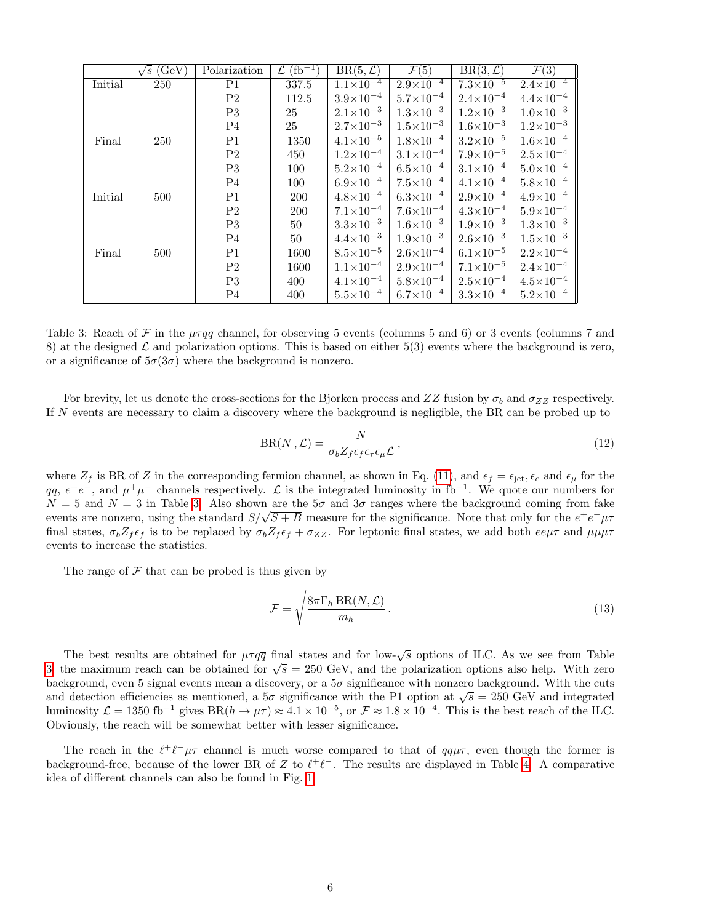|         | $\sqrt{s}$ (GeV) | Polarization   | $\mathcal{L}$ (fb <sup>-1</sup> ) | $BR(5,\mathcal{L})$  | $\mathcal{F}(5)$     | $BR(3,\overline{\mathcal{L}})$ | $\mathcal{F}(3)$                |
|---------|------------------|----------------|-----------------------------------|----------------------|----------------------|--------------------------------|---------------------------------|
| Initial | 250              | P1             | 337.5                             | $1.1 \times 10^{-4}$ | $2.9\times10^{-4}$   | $7.3 \times 10^{-5}$           | $2.4 \times \overline{10^{-4}}$ |
|         |                  | P <sub>2</sub> | 112.5                             | $3.9\times10^{-4}$   | $5.7 \times 10^{-4}$ | $2.4\times10^{-4}$             | $4.4\times10^{-4}$              |
|         |                  | P3             | 25                                | $2.1 \times 10^{-3}$ | $1.3 \times 10^{-3}$ | $1.2 \times 10^{-3}$           | $1.0\times10^{-3}$              |
|         |                  | P <sub>4</sub> | 25                                | $2.7 \times 10^{-3}$ | $1.5 \times 10^{-3}$ | $1.6 \times 10^{-3}$           | $1.2 \times 10^{-3}$            |
| Final   | 250              | P1             | 1350                              | $4.1 \times 10^{-5}$ | $1.8 \times 10^{-4}$ | $3.2 \times 10^{-5}$           | $1.6 \times 10^{-4}$            |
|         |                  | P <sub>2</sub> | 450                               | $1.2 \times 10^{-4}$ | $3.1 \times 10^{-4}$ | $7.9\times10^{-5}$             | $2.5 \times 10^{-4}$            |
|         |                  | P3             | 100                               | $5.2\times10^{-4}$   | $6.5 \times 10^{-4}$ | $3.1 \times 10^{-4}$           | $5.0\times10^{-4}$              |
|         |                  | P <sub>4</sub> | 100                               | $6.9\times10^{-4}$   | $7.5 \times 10^{-4}$ | $4.1 \times 10^{-4}$           | $5.8 \times 10^{-4}$            |
| Initial | 500              | P1             | 200                               | $4.8 \times 10^{-4}$ | $6.3 \times 10^{-4}$ | $2.9 \times 10^{-4}$           | $4.9 \times 10^{-4}$            |
|         |                  | P <sub>2</sub> | 200                               | $7.1 \times 10^{-4}$ | $7.6\times10^{-4}$   | $4.3 \times 10^{-4}$           | $5.9 \times 10^{-4}$            |
|         |                  | P <sub>3</sub> | 50                                | $3.3 \times 10^{-3}$ | $1.6 \times 10^{-3}$ | $1.9\times10^{-3}$             | $1.3 \times 10^{-3}$            |
|         |                  | P <sub>4</sub> | 50                                | $4.4\times10^{-3}$   | $1.9 \times 10^{-3}$ | $2.6 \times 10^{-3}$           | $1.5 \times 10^{-3}$            |
| Final   | 500              | P1             | 1600                              | $8.5 \times 10^{-5}$ | $2.6 \times 10^{-4}$ | $6.1 \times 10^{-5}$           | $2.2\times10^{-4}$              |
|         |                  | P <sub>2</sub> | 1600                              | $1.1 \times 10^{-4}$ | $2.9 \times 10^{-4}$ | $7.1 \times 10^{-5}$           | $2.4 \times 10^{-4}$            |
|         |                  | P3             | 400                               | $4.1 \times 10^{-4}$ | $5.8 \times 10^{-4}$ | $2.5 \times 10^{-4}$           | $4.5 \times 10^{-4}$            |
|         |                  | P <sub>4</sub> | 400                               | $5.5 \times 10^{-4}$ | $6.7\times10^{-4}$   | $3.3 \times 10^{-4}$           | $5.2\times10^{-4}$              |

<span id="page-5-0"></span>Table 3: Reach of F in the  $\mu \tau q \overline{q}$  channel, for observing 5 events (columns 5 and 6) or 3 events (columns 7 and 8) at the designed  $\mathcal L$  and polarization options. This is based on either 5(3) events where the background is zero, or a significance of  $5\sigma(3\sigma)$  where the background is nonzero.

For brevity, let us denote the cross-sections for the Bjorken process and  $ZZ$  fusion by  $\sigma_b$  and  $\sigma_{ZZ}$  respectively. If N events are necessary to claim a discovery where the background is negligible, the BR can be probed up to

$$
BR(N, \mathcal{L}) = \frac{N}{\sigma_b Z_f \epsilon_f \epsilon_\tau \epsilon_\mu \mathcal{L}},\tag{12}
$$

where  $Z_f$  is BR of Z in the corresponding fermion channel, as shown in Eq. [\(11\)](#page-4-2), and  $\epsilon_f = \epsilon_{\rm jet}, \epsilon_e$  and  $\epsilon_\mu$  for the  $q\bar{q}, e^+e^-$ , and  $\mu^+\mu^-$  channels respectively.  $\mathcal L$  is the integrated luminosity in fb<sup>-1</sup>. We quote our numbers for  $N = 5$  and  $N = 3$  in Table [3.](#page-5-0) Also shown are the  $5\sigma$  and  $3\sigma$  ranges where the background coming from fake  $\alpha = \beta$  and  $\beta = \beta$  in Table 3. Also shown are the  $\beta \sigma$  and  $\beta \sigma$  ranges where the background coming from fake events are nonzero, using the standard  $S/\sqrt{S+B}$  measure for the significance. Note that only for the  $e^+e$ final states,  $\sigma_b Z_f \epsilon_f$  is to be replaced by  $\sigma_b Z_f \epsilon_f + \sigma_{ZZ}$ . For leptonic final states, we add both  $ee\mu\tau$  and  $\mu\mu\mu\tau$ events to increase the statistics.

The range of  $\mathcal F$  that can be probed is thus given by

$$
\mathcal{F} = \sqrt{\frac{8\pi\Gamma_h \operatorname{BR}(N,\mathcal{L})}{m_h}}.
$$
\n(13)

The best results are obtained for  $\mu \tau q \bar{q}$  final states and for low- $\sqrt{s}$  options of ILC. As we see from Table The best results are obtained for  $\mu_{\ell}q\bar{q}$  mat states and for low- $\sqrt{s}$  options of file. As we see from Table [3,](#page-5-0) the maximum reach can be obtained for  $\sqrt{s} = 250$  GeV, and the polarization options also help. With z background, even 5 signal events mean a discovery, or a  $5\sigma$  significance with nonzero background. With the cuts background, even 3 signal events mean a discovery, or a 30 significance with nonzero background. With the cuts<br>and detection efficiencies as mentioned, a  $5\sigma$  significance with the P1 option at  $\sqrt{s} = 250$  GeV and integr luminosity  $\mathcal{L} = 1350 \text{ fb}^{-1}$  gives  $BR(h \to \mu\tau) \approx 4.1 \times 10^{-5}$ , or  $\mathcal{F} \approx 1.8 \times 10^{-4}$ . This is the best reach of the ILC. Obviously, the reach will be somewhat better with lesser significance.

The reach in the  $\ell^+\ell^-\mu\tau$  channel is much worse compared to that of  $q\bar{q}\mu\tau$ , even though the former is background-free, because of the lower BR of Z to  $\ell^+\ell^-$ . The results are displayed in Table [4.](#page-6-0) A comparative idea of different channels can also be found in Fig. [1.](#page-6-1)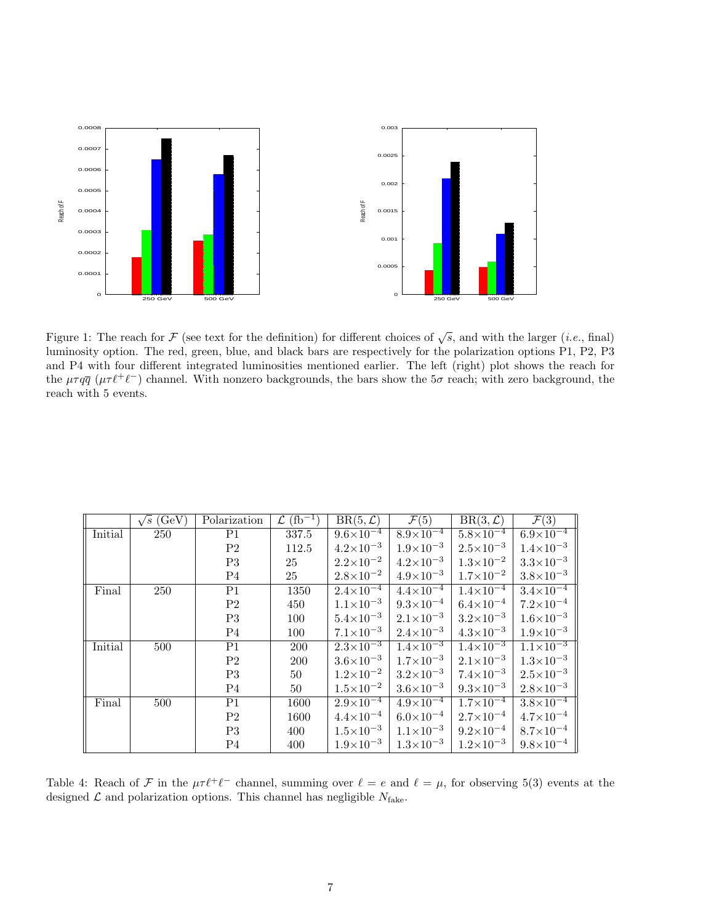

<span id="page-6-1"></span>Figure 1: The reach for F (see text for the definition) for different choices of  $\sqrt{s}$ , and with the larger (*i.e.*, final) luminosity option. The red, green, blue, and black bars are respectively for the polarization options P1, P2, P3 and P4 with four different integrated luminosities mentioned earlier. The left (right) plot shows the reach for the  $\mu \tau q \bar{q}$  ( $\mu \tau \ell^+ \ell^-$ ) channel. With nonzero backgrounds, the bars show the 5 $\sigma$  reach; with zero background, the reach with 5 events.

|         | $\sqrt{s}$ (GeV) | Polarization   | $\mathcal{L}$ (fb <sup>-1</sup> ) | $BR(5, \mathcal{L})$            | $\overline{\mathcal{F}(5)}$ | $BR(3,\mathcal{L})$  | $\mathcal{F}(3)$               |
|---------|------------------|----------------|-----------------------------------|---------------------------------|-----------------------------|----------------------|--------------------------------|
| Initial | 250              | P1             | 337.5                             | $9.6 \times \overline{10^{-4}}$ | $8.9\times10^{-4}$          | $5.8 \times 10^{-4}$ | $6.9\times\overline{10^{-4}}$  |
|         |                  | P <sub>2</sub> | 112.5                             | $4.2\times10^{-3}$              | $1.9\times10^{-3}$          | $2.5 \times 10^{-3}$ | $1.4\times10^{-3}$             |
|         |                  | P3             | 25                                | $2.2 \times 10^{-2}$            | $4.2 \times 10^{-3}$        | $1.3 \times 10^{-2}$ | $3.3 \times 10^{-3}$           |
|         |                  | P <sub>4</sub> | 25                                | $2.8 \times 10^{-2}$            | $4.9 \times 10^{-3}$        | $1.7 \times 10^{-2}$ | $3.8 \times 10^{-3}$           |
| Final   | 250              | P1             | 1350                              | $2.4\times10^{-4}$              | $4.4 \times 10^{-4}$        | $1.4 \times 10^{-4}$ | $3.4 \times 10^{-4}$           |
|         |                  | P <sub>2</sub> | 450                               | $1.1 \times 10^{-3}$            | $9.3 \times 10^{-4}$        | $6.4\times10^{-4}$   | $7.2 \times 10^{-4}$           |
|         |                  | P3             | 100                               | $5.4\times10^{-3}$              | $2.1 \times 10^{-3}$        | $3.2\times10^{-3}$   | $1.6 \times 10^{-3}$           |
|         |                  | P <sub>4</sub> | 100                               | $7.1 \times 10^{-3}$            | $2.4 \times 10^{-3}$        | $4.3 \times 10^{-3}$ | $1.9\times10^{-3}$             |
| Initial | 500              | P1             | 200                               | $2.3 \times 10^{-3}$            | $1.4 \times 10^{-3}$        | $1.4 \times 10^{-3}$ | $\frac{1.1 \times 10^{-3}}{2}$ |
|         |                  | P <sub>2</sub> | 200                               | $3.6\times10^{-3}$              | $1.7 \times 10^{-3}$        | $2.1 \times 10^{-3}$ | $1.3 \times 10^{-3}$           |
|         |                  | P3             | 50                                | $1.2 \times 10^{-2}$            | $3.2 \times 10^{-3}$        | $7.4 \times 10^{-3}$ | $2.5 \times 10^{-3}$           |
|         |                  | P <sub>4</sub> | 50                                | $1.5 \times 10^{-2}$            | $3.6 \times 10^{-3}$        | $9.3\times10^{-3}$   | $2.8 \times 10^{-3}$           |
| Final   | 500              | P1             | 1600                              | $2.9\times10^{-4}$              | $4.9 \times 10^{-4}$        | $1.7 \times 10^{-4}$ | $3.8 \times 10^{-4}$           |
|         |                  | P <sub>2</sub> | 1600                              | $4.4\times10^{-4}$              | $6.0\times10^{-4}$          | $2.7\times10^{-4}$   | $4.7 \times 10^{-4}$           |
|         |                  | P3             | 400                               | $1.5 \times 10^{-3}$            | $1.1 \times 10^{-3}$        | $9.2\times10^{-4}$   | $8.7\times10^{-4}$             |
|         |                  | P <sub>4</sub> | 400                               | $1.9\times10^{-3}$              | $1.3 \times 10^{-3}$        | $1.2 \times 10^{-3}$ | $9.8 \times 10^{-4}$           |

<span id="page-6-0"></span>Table 4: Reach of F in the  $\mu \tau \ell^+ \ell^-$  channel, summing over  $\ell = e$  and  $\ell = \mu$ , for observing 5(3) events at the designed  $\mathcal L$  and polarization options. This channel has negligible  $N_{\text{fake}}$ .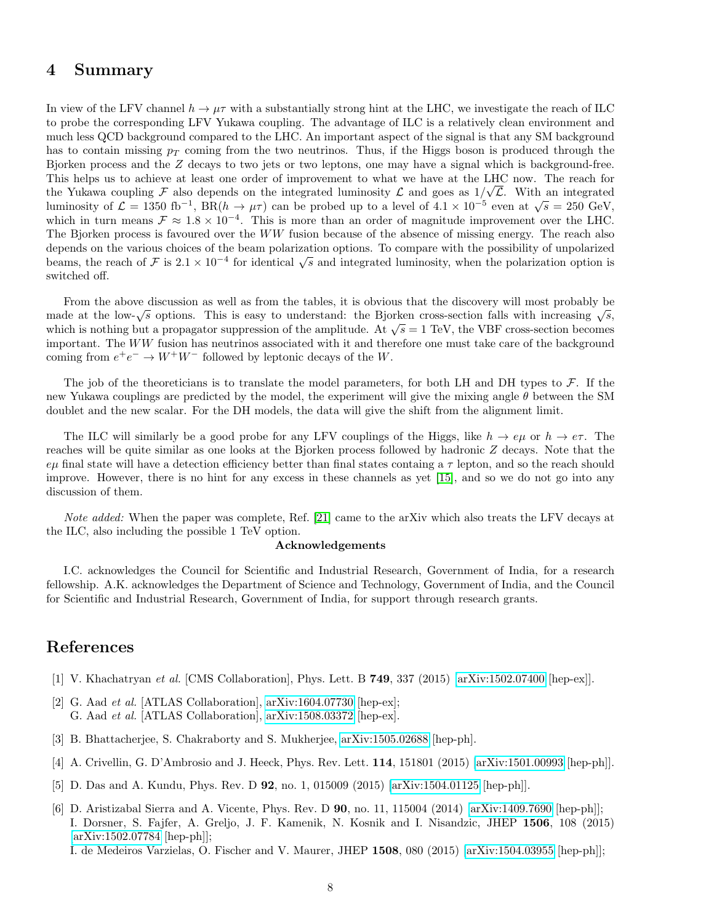### 4 Summary

In view of the LFV channel  $h \to \mu\tau$  with a substantially strong hint at the LHC, we investigate the reach of ILC to probe the corresponding LFV Yukawa coupling. The advantage of ILC is a relatively clean environment and much less QCD background compared to the LHC. An important aspect of the signal is that any SM background has to contain missing  $p_T$  coming from the two neutrinos. Thus, if the Higgs boson is produced through the Bjorken process and the Z decays to two jets or two leptons, one may have a signal which is background-free. This helps us to achieve at least one order of improvement to what we have at the LHC now. The reach for the Yukawa coupling F also depends on the integrated luminosity L and goes as  $1/\sqrt{L}$ . With an integrated luminosity of  $\mathcal{L} = 1350 \text{ fb}^{-1}$ ,  $\text{BR}(h \to \mu\tau)$  can be probed up to a level of  $4.1 \times 10^{-5}$  even at  $\sqrt{s} = 250 \text{ GeV}$ , which in turn means  $\mathcal{F} \approx 1.8 \times 10^{-4}$ . This is more than an order of magnitude improvement over the LHC. The Bjorken process is favoured over the WW fusion because of the absence of missing energy. The reach also depends on the various choices of the beam polarization options. To compare with the possibility of unpolarized beams, the reach of F is  $2.1 \times 10^{-4}$  for identical  $\sqrt{s}$  and integrated luminosity, when the polarization option is switched off.

From the above discussion as well as from the tables, it is obvious that the discovery will most probably be made at the low- $\sqrt{s}$  options. This is easy to understand: the Bjorken cross-section falls with increasing  $\sqrt{s}$ , made at the low- $\sqrt{s}$  options. This is easy to understand: the BJorken cross-section rans with increasing  $\sqrt{s}$ , which is nothing but a propagator suppression of the amplitude. At  $\sqrt{s} = 1$  TeV, the VBF cross-section be important. The  $WW$  fusion has neutrinos associated with it and therefore one must take care of the background coming from  $e^+e^- \to W^+W^-$  followed by leptonic decays of the W.

The job of the theoreticians is to translate the model parameters, for both LH and DH types to  $\mathcal{F}$ . If the new Yukawa couplings are predicted by the model, the experiment will give the mixing angle  $\theta$  between the SM doublet and the new scalar. For the DH models, the data will give the shift from the alignment limit.

The ILC will similarly be a good probe for any LFV couplings of the Higgs, like  $h \to e\mu$  or  $h \to e\tau$ . The reaches will be quite similar as one looks at the Bjorken process followed by hadronic Z decays. Note that the  $e\mu$  final state will have a detection efficiency better than final states containg a  $\tau$  lepton, and so the reach should improve. However, there is no hint for any excess in these channels as yet [\[15\]](#page-8-8), and so we do not go into any discussion of them.

Note added: When the paper was complete, Ref. [\[21\]](#page-8-14) came to the arXiv which also treats the LFV decays at the ILC, also including the possible 1 TeV option.

#### Acknowledgements

I.C. acknowledges the Council for Scientific and Industrial Research, Government of India, for a research fellowship. A.K. acknowledges the Department of Science and Technology, Government of India, and the Council for Scientific and Industrial Research, Government of India, for support through research grants.

## References

- <span id="page-7-0"></span>[1] V. Khachatryan et al. [CMS Collaboration], Phys. Lett. B 749, 337 (2015) [\[arXiv:1502.07400](http://arxiv.org/abs/1502.07400) [hep-ex]].
- <span id="page-7-1"></span>[2] G. Aad et al. [ATLAS Collaboration], [arXiv:1604.07730](http://arxiv.org/abs/1604.07730) [hep-ex]; G. Aad et al. [ATLAS Collaboration], [arXiv:1508.03372](http://arxiv.org/abs/1508.03372) [hep-ex].
- <span id="page-7-2"></span>[3] B. Bhattacherjee, S. Chakraborty and S. Mukherjee, [arXiv:1505.02688](http://arxiv.org/abs/1505.02688) [hep-ph].
- <span id="page-7-3"></span>[4] A. Crivellin, G. D'Ambrosio and J. Heeck, Phys. Rev. Lett. 114, 151801 (2015) [\[arXiv:1501.00993](http://arxiv.org/abs/1501.00993) [hep-ph]].
- <span id="page-7-4"></span>[5] D. Das and A. Kundu, Phys. Rev. D 92, no. 1, 015009 (2015) [\[arXiv:1504.01125](http://arxiv.org/abs/1504.01125) [hep-ph]].
- <span id="page-7-5"></span>[6] D. Aristizabal Sierra and A. Vicente, Phys. Rev. D 90, no. 11, 115004 (2014) [\[arXiv:1409.7690](http://arxiv.org/abs/1409.7690) [hep-ph]]; I. Dorsner, S. Fajfer, A. Greljo, J. F. Kamenik, N. Kosnik and I. Nisandzic, JHEP 1506, 108 (2015) [\[arXiv:1502.07784](http://arxiv.org/abs/1502.07784) [hep-ph]];

I. de Medeiros Varzielas, O. Fischer and V. Maurer, JHEP 1508, 080 (2015) [\[arXiv:1504.03955](http://arxiv.org/abs/1504.03955) [hep-ph]];